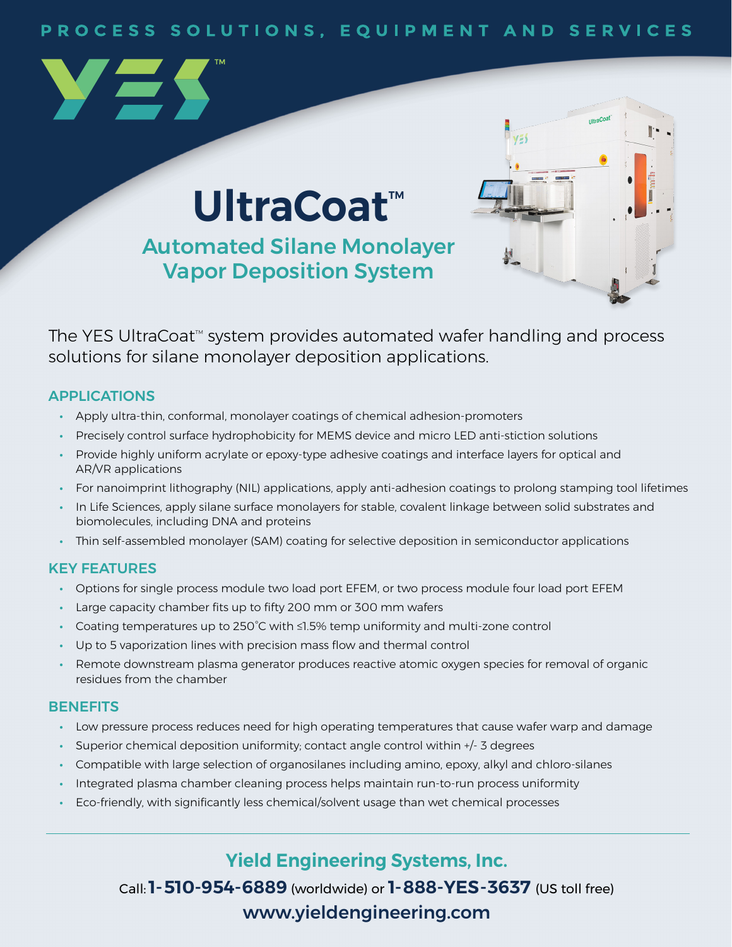#### PROCESS SOLUTIONS, EQUIPMENT AND SERVICES

# **UltraCoat™**

Automated Silane Monolayer Vapor Deposition System



The YES UltraCoat<sup> $M$ </sup> system provides automated wafer handling and process solutions for silane monolayer deposition applications.

#### APPLICATIONS

YES

- **•** Apply ultra-thin, conformal, monolayer coatings of chemical adhesion-promoters
- **•** Precisely control surface hydrophobicity for MEMS device and micro LED anti-stiction solutions
- **•** Provide highly uniform acrylate or epoxy-type adhesive coatings and interface layers for optical and AR/VR applications
- **•** For nanoimprint lithography (NIL) applications, apply anti-adhesion coatings to prolong stamping tool lifetimes
- **•** In Life Sciences, apply silane surface monolayers for stable, covalent linkage between solid substrates and biomolecules, including DNA and proteins
- **•** Thin self-assembled monolayer (SAM) coating for selective deposition in semiconductor applications

#### KEY FEATURES

- **•** Options for single process module two load port EFEM, or two process module four load port EFEM
- **•** Large capacity chamber fits up to fifty 200 mm or 300 mm wafers
- **•** Coating temperatures up to 250°C with ≤1.5% temp uniformity and multi-zone control
- **•** Up to 5 vaporization lines with precision mass flow and thermal control
- **•** Remote downstream plasma generator produces reactive atomic oxygen species for removal of organic residues from the chamber

#### **BENEFITS**

- **•** Low pressure process reduces need for high operating temperatures that cause wafer warp and damage
- **•** Superior chemical deposition uniformity; contact angle control within +/- 3 degrees
- **•** Compatible with large selection of organosilanes including amino, epoxy, alkyl and chloro-silanes
- **•** Integrated plasma chamber cleaning process helps maintain run-to-run process uniformity
- **•** Eco-friendly, with significantly less chemical/solvent usage than wet chemical processes

**Yield Engineering Systems, Inc.**

Call:**1-510-954-6889** (worldwide) or **1-888-YES-3637** (US toll free) [www.yieldengineering.com](http://www.yieldengineering.com)